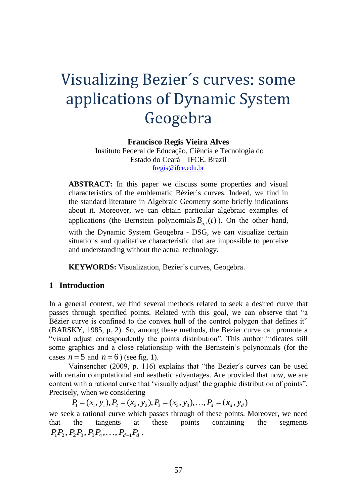# Visualizing Bezier´s curves: some applications of Dynamic System Geogebra

**Francisco Regis Vieira Alves**

Instituto Federal de Educação, Ciência e Tecnologia do Estado do Ceará – IFCE. Brazil [fregis@ifce.edu.br](mailto:fregis@ifce.edu.br)

ABSTRACT: In this paper we discuss some properties and visual characteristics of the emblematic Bézier´s curves. Indeed, we find in the standard literature in Algebraic Geometry some briefly indications about it. Moreover, we can obtain particular algebraic examples of applications (the Bernstein polynomials  $B_{n,i}(t)$ ). On the other hand, with the Dynamic System Geogebra - DSG, we can visualize certain situations and qualitative characteristic that are impossible to perceive and understanding without the actual technology.

**KEYWORDS:** Visualization, Bezier´s curves, Geogebra.

## **1 Introduction**

In a general context, we find several methods related to seek a desired curve that passes through specified points. Related with this goal, we can observe that "a Bézier curve is confined to the convex hull of the control polygon that defines it" (BARSKY, 1985, p. 2). So, among these methods, the Bezier curve can promote a "visual adjust correspondently the points distribution". This author indicates still some graphics and a close relationship with the Bernstein's polynomials (for the cases  $n = 5$  and  $n = 6$ ) (see fig. 1).

Vainsencher (2009, p. 116) explains that "the Bezier´s curves can be used with certain computational and aesthetic advantages. Are provided that now, we are content with a rational curve that 'visually adjust' the graphic distribution of points". Precisely, when we considering

 $P_1 = (x_1, y_1), P_2 = (x_2, y_2), P_3 = (x_3, y_3), \ldots, P_d = (x_d, y_d)$ 

we seek a rational curve which passes through of these points. Moreover, we need that the tangents at these points containing the segments  $P_1 P_2, P_2 P_3, P_3 P_4, \ldots, P_{d-1} P_d$ .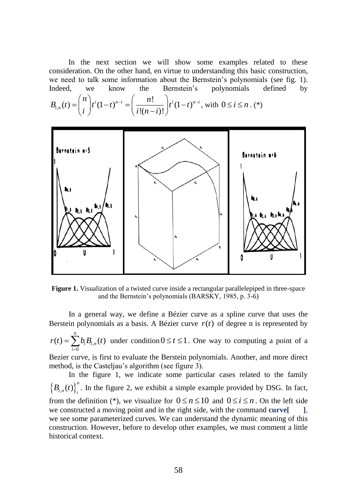In the next section we will show some examples related to these consideration. On the other hand, en virtue to understanding this basic construction, we need to talk some information about the Bernstein's polynomials (see fig. 1). Indeed, we know the Bernstein's polynomials defined by

$$
B_{i,n}(t) = {n \choose i} t^{i} (1-t)^{n-i} = \left(\frac{n!}{i!(n-i)!}\right) t^{i} (1-t)^{n-i}, \text{ with } 0 \le i \le n. (*)
$$



**Figure 1.** Visualization of a twisted curve inside a rectangular parallelepiped in three-space and the Bernstein's polynomials (BARSKY, 1985, p. 3-6)

In a general way, we define a Bézier curve as a spline curve that uses the Berstein polynomials as a basis. A Bézier curve  $r(t)$  of degree n is represented by

$$
r(t) = \sum_{i=0}^{n} b_i B_{i,n}(t)
$$
 under condition  $0 \le t \le 1$ . One way to computing a point of a

Bezier curve, is first to evaluate the Berstein polynomials. Another, and more direct method, is the Casteljau's algorithm (see figure 3).

In the figure 1, we indicate some particular cases related to the family  $\left\{ B_{i,n}(t)\right\} _{i}^{n}$  $B_{i,n}(t)$ <sup>*i*</sup>, In the figure 2, we exhibit a simple example provided by DSG. In fact, from the definition (\*), we visualize for  $0 \le n \le 10$  and  $0 \le i \le n$ . On the left side we constructed a moving point and in the right side, with the command **curve**[  $\qquad$  ], we see some parameterized curves. We can understand the dynamic meaning of this construction. However, before to develop other examples, we must comment a little historical context.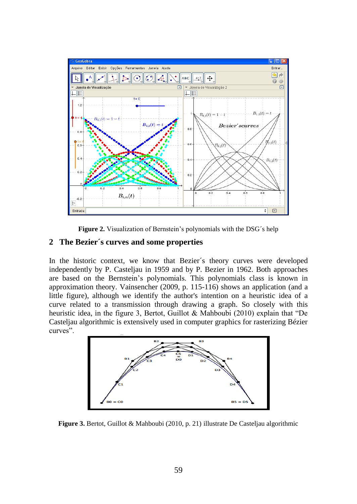

**Figure 2.** Visualization of Bernstein's polynomials with the DSG´s help

## **2 The Bezier´s curves and some properties**

In the historic context, we know that Bezier´s theory curves were developed independently by P. Casteljau in 1959 and by P. Bezier in 1962. Both approaches are based on the Bernstein's polynomials. This polynomials class is known in approximation theory. Vainsencher (2009, p. 115-116) shows an application (and a little figure), although we identify the author's intention on a heuristic idea of a curve related to a transmission through drawing a graph. So closely with this heuristic idea, in the figure 3, Bertot, Guillot & Mahboubi (2010) explain that "De Casteljau algorithmic is extensively used in computer graphics for rasterizing Bézier curves".



**Figure 3.** Bertot, Guillot & Mahboubi (2010, p. 21) illustrate De Casteljau algorithmic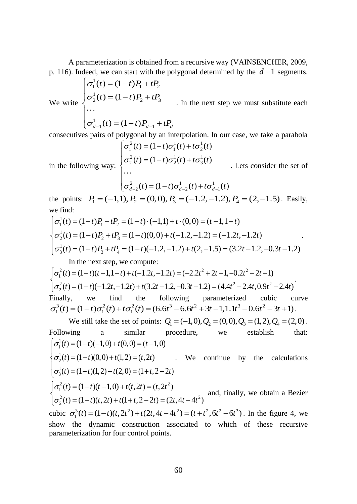A parameterization is obtained from a recursive way (VAINSENCHER, 2009, p. 116). Indeed, we can start with the polygonal determined by the  $d-1$  segments.

We write  
\n
$$
\begin{cases}\n\sigma_1^1(t) = (1-t)P_1 + tP_2 \\
\sigma_2^1(t) = (1-t)P_2 + tP_3 \\
\cdots \\
\sigma_{d-1}^1(t) = (1-t)P_{d-1} + tP_d\n\end{cases}
$$
. In the next step we must substitute each

consecutives pairs of polygonal by an interpolation. In our case, we take a parabola

in the following way: 
$$
\begin{cases} \sigma_1^2(t) = (1-t)\sigma_1^1(t) + t\sigma_2^1(t) \\ \sigma_2^2(t) = (1-t)\sigma_2^1(t) + t\sigma_3^1(t) \\ \cdots \\ \sigma_{d-2}^2(t) = (1-t)\sigma_{d-2}^1(t) + t\sigma_{d-1}^1(t) \end{cases}
$$
. Let's consider the set of

the points:  $P_1 = (-1, 1), P_2 = (0, 0), P_3 = (-1.2, -1.2), P_4 = (2, -1.5)$ . Easily, we find:

$$
\begin{cases}\n\sigma_1^1(t) = (1-t)P_1 + tP_2 = (1-t) \cdot (-1,1) + t \cdot (0,0) = (t-1,1-t) \\
\sigma_2^1(t) = (1-t)P_2 + tP_3 = (1-t)(0,0) + t(-1.2, -1.2) = (-1.2t, -1.2t) \\
\sigma_3^1(t) = (1-t)P_3 + tP_4 = (1-t)(-1.2, -1.2) + t(2, -1.5) = (3.2t - 1.2, -0.3t - 1.2)\n\end{cases}
$$

In the next step, we compute:

2  $(1, 2)$   $(1, 2)$   $(1, 1)$   $(1, 2)$   $(1, 2)$   $(2, 2)$   $(2, 2)$   $(1, 2)$ 1 2  $(1 - \lambda)(1 - \lambda)$  1  $(1 - \lambda)(1 - \lambda)$   $(2 - \lambda)(1 - \lambda)$   $(3 - \lambda)(1 - \lambda)$   $(4 - \lambda)^2$   $(1 - \lambda)(1 - \lambda)$ 2  $(t) = (1-t)(t-1, 1-t) + t(-1.2t, -1.2t) = (-2.2t^2 + 2t - 1, -0.2t^2 - 2t + 1)$  $(t) = (1-t)(-1.2t, -1.2t) + t(3.2t - 1.2, -0.3t - 1.2) = (4.4t^2 - 2.4t, 0.9t^2 - 2.4t)$  $t = (1-t)(t-1, 1-t) + t(-1, 2t, -1, 2t) = (-2, 2t^2 + 2t - 1, -0, 2t^2 - 2t)$  $t = (1-t)(-1.2t, -1.2t) + t(3.2t - 1.2, -0.3t - 1.2) = (4.4t^2 - 2.4t, 0.9t^2 - 2.4t)$ σ  $\begin{cases}\n\sigma_1^2(t) = (1-t)(t-1, 1-t) + t(-1.2t, -1.2t) = (-2.2t^2 + 2t - 1, -0.2t^2 - 2t + 1) \\
\sigma_2^2(t) = (1-t)(-1.2t, -1.2t) + t(3.2t - 1.2, -0.3t - 1.2) = (4.4t^2 - 2.4t, 0.9t + 1.2) \\
\sigma_2^2(t) = (1-t)(-1.2t, -1.2t) + t(3.2t - 1.2, -0.3t - 1.2) = (4.4t^2 - 2.4t, 0.9t +$  $\sigma_2^2(t) = (1-t)(-1.2t, -1.2t) + t(3.2t - 1.2, -0.3t - 1.2) = (4.4t^2 - 2.4t, 0.9t^2 -$ . Finally, we find the following parameterized cubic curve  $\sigma_1^3(t) = (1-t)\sigma_1^2(t) + t\sigma_1^2(t) = (6.6t^3 - 6.6t^2 + 3t - 1, 1.1t^3 - 0.6t^2 - 3t + 1).$ 

We still take the set of points:  $Q_1 = (-1,0), Q_2 = (0,0), Q_3 = (1,2), Q_4 = (2,0)$ . Following a similar procedure, we establish that: 1  $\sigma_1^1(t) = (1-t)(-1,0) + t(0,0) = (t-1,0)$ 

1  $\sigma_2^1(t) = (1-t)(0,0) + t(1,2) = (t,2t)$  We continue by the calculations 1  $\sigma_3^1(t) = (1-t)(1,2) + t(2,0) = (1+t,2-2t)$  $\sigma_3^2(t) = (1-t)(1,2) + t(2,0) = (1+t,2-t)$ 

$$
\begin{cases} \sigma_1^2(t) = (1-t)(t-1,0) + t(t, 2t) = (t, 2t^2) \\ \sigma_2^2(t) = (1-t)(t, 2t) + t(1+t, 2-2t) = (2t, 4t - 4t^2) \end{cases}
$$
 and, finally, we obtain a Bezier

cubic  $\sigma_1^3(t) = (1-t)(t, 2t^2) + t(2t, 4t - 4t^2) = (t + t^2, 6t^2 - 6t^3)$ . In the figure 4, we show the dynamic construction associated to which of these recursive parameterization for four control points.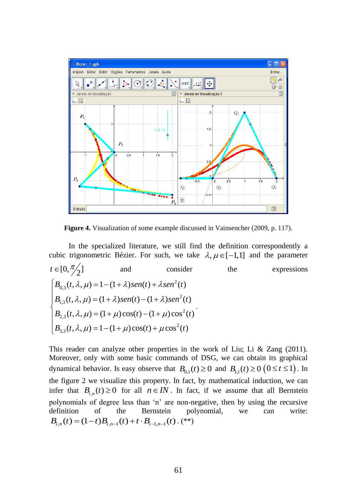

**Figure 4.** Visualization of some example discussed in Vainsencher (2009, p. 117).

In the specialized literature, we still find the definition correspondently a cubic trigonometric Bézier. For such, we take  $\lambda, \mu \in [-1,1]$  and the parameter  $t \in [0, \frac{\pi}{2}]$ and consider the expressions 2 0,3 2 1,3 2 2,3 2  $B_{3,3}(t, \lambda, \mu) = 1 - (1 + \mu)\cos(t) + \mu\cos^{2}(t)$  $(t, \lambda, \mu) = 1 - (1 + \lambda)$ sen $(t) + \lambda$ sen<sup>2</sup> $(t)$  $(t, \lambda, \mu) = (1 + \lambda)$ sen $(t) - (1 + \lambda)$ sen<sup>2</sup> $(t)$  $(t, \lambda, \mu) = (1 + \mu)\cos(t) - (1 + \mu)\cos^{2}(t)$  $B_{0,2}(t,\lambda,u) = 1 - (1+\lambda)$ sen(t) +  $\lambda$ sen<sup>2</sup>(t)  $B_{1,2}(t, \lambda, u) = (1 + \lambda)$  sen(t)  $-(1 + \lambda)$  sen<sup>2</sup>(t)  $B_{2,2}(t, \lambda, u) = (1 + u)\cos(t) - (1 + u)\cos^{2}(t)$  $\lambda, \mu$ ) = 1 – (1 +  $\lambda$ ) sen(t) +  $\lambda$ .  $\lambda, \mu$ ) =  $(1 + \lambda)$ sen(t) –  $(1 + \lambda)$  $\lambda, \mu$  = (1 +  $\mu$ ) cos(t) – (1 +  $\mu$ )  $B_{0,3}(t,\lambda,\mu) = 1 - (1+\lambda)sen(t) +$  $B_{13}(t, \lambda, \mu) = (1 + \lambda)sen(t) - (1 +$ {  $B_{2,3}(t, \lambda, \mu) = (1 + \mu)\cos(t) - (1 +$ I  $B_{3,3}(t, \lambda, \mu) = 1 - (1 + \mu)\cos(t) +$ .

This reader can analyze other properties in the work of Liu; Li & Zang (2011). Moreover, only with some basic commands of DSG, we can obtain its graphical dynamical behavior. Is easy observe that  $B_{0,1}(t) \ge 0$  and  $B_{1,1}(t) \ge 0$   $(0 \le t \le 1)$ . In the figure 2 we visualize this property. In fact, by mathematical induction, we can infer that  $B_{i,n}(t) \ge 0$  for all  $n \in IN$ . In fact, if we assume that all Bernstein polynomials of degree less than 'n' are non-negative, then by using the recursive definition of the Bernstein polynomial, we can write:  $B_{i,n}(t) = (1-t)B_{i,n-1}(t) + t \cdot B_{i-1,n-1}(t)$ . (\*\*)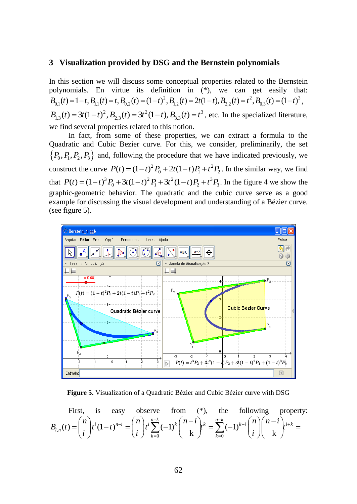### **3 Visualization provided by DSG and the Bernstein polynomials**

In this section we will discuss some conceptual properties related to the Bernstein polynomials. En virtue its definition in (\*), we can get easily that:  $B_{0,1}(t) = 1-t$ ,  $B_{1,1}(t) = t$ ,  $B_{0,2}(t) = (1-t)^2$ ,  $B_{1,2}(t) = 2t(1-t)$ ,  $B_{2,2}(t) = t^2$ ,  $B_{0,3}(t) = (1-t)^3$ ,  $B_{1,3}(t) = 3t(1-t)^2$ ,  $B_{2,3}(t) = 3t^2(1-t)$ ,  $B_{3,3}(t) = t^3$ , etc. In the specialized literature, we find several properties related to this notion.

In fact, from some of these properties, we can extract a formula to the Quadratic and Cubic Bezier curve. For this, we consider, preliminarily, the set  $\{P_0, P_1, P_2, P_3\}$  and, following the procedure that we have indicated previously, we construct the curve  $P(t) = (1-t)^2 P_0 + 2t(1-t)P_1 + t^2 P_2$ . In the similar way, we find that  $P(t) = (1-t)^3 P_0 + 3t(1-t)^2 P_1 + 3t^2(1-t)P_2 + t^3 P_3$ . In the figure 4 we show the graphic-geometric behavior. The quadratic and the cubic curve serve as a good example for discussing the visual development and understanding of a Bézier curve. (see figure 5).





First, is easy observe from (\*), the following property:  
\n
$$
B_{i,n}(t) = {n \choose i} t^i (1-t)^{n-i} = {n \choose i} t^i \sum_{k=0}^{n-k} (-1)^k {n-i \choose k} t^k = \sum_{k=0}^{n-k} (-1)^{k-i} {n \choose i} {n-i \choose k} t^{i+k} =
$$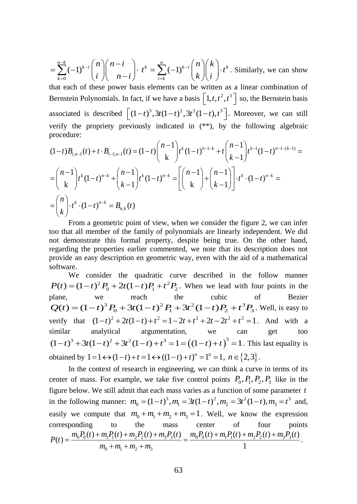$(-1)^{k-l}$  | | | | |  $t^k = \sum (-1)^k$  $\sum_{k=1}^{n-k}$  *(n)*  $n-i$  *k*  $\sum_{k=1}^{n}$  *(n)*  $k$  *k*  $\sum_{k=1}^{n}$  $k=0$   $\left\{ \begin{array}{ccc} k & j \\ k & k \end{array} \right\}$   $\left\{ \begin{array}{ccc} l & k \\ k & l \end{array} \right\}$   $\left\{ \begin{array}{ccc} k & j \\ k & k \end{array} \right\}$  $n \mid (n-i)$ ,  $\frac{n}{n}$ ,  $(n) \mid k$  $i \parallel n-i \mid t^n = \sum_{i=k} (-1)^{n-i} \mid k \mid i \mid t^n$  $\sum_{k=1}^{n}$  (1)  $k-i$   $\binom{n}{k}$   $\binom{n-1}{k}$   $\binom{n}{k}$  (1)  $k-i$   $(n)(n-i)$   $\sum_{k=1}^{n} (n)(k)$  $=\sum_{k=0}^\infty (-1)^{k-i} \binom{n}{i} \binom{n-i}{n-i}$   $t^k = \sum_{i=k}^\infty (-1)^{k-i} \binom{n}{k} \binom{n}{i} \cdot t^k$ . Similarly, we can show

that each of these power basis elements can be written as a linear combination of Bernstein Polynomials. In fact, if we have a basis  $\left[1, t, t^2, t^3\right]$  so, the Bernstein basis associated is described  $\left[ (1-t)^3, 3t(1-t)^2, 3t^2(1-t), t^3 \right]$ . Moreover, we can still verify the propriety previously indicated in (\*\*), by the following algebraic procedure:

$$
(1-t)B_{i,n-1}(t) + t \cdot B_{i-1,n-1}(t) = (1-t) {n-1 \choose k} t^k (1-t)^{n-1-k} + t {n-1 \choose k-1} t^{k-1} (1-t)^{n-1-(k-1)} =
$$
  
=  ${n-1 \choose k} t^k (1-t)^{n-k} + {n-1 \choose k-1} t^k (1-t)^{n-k} = \left[ {n-1 \choose k} + {n-1 \choose k-1} \right] \cdot t^k \cdot (1-t)^{n-k} =$   
=  ${n \choose k} \cdot t^k \cdot (1-t)^{n-k} = B_{n,k}(t)$ 

From a geometric point of view, when we consider the figure 2, we can infer too that all member of the family of polynomials are linearly independent. We did not demonstrate this formal property, despite being true. On the other hand, regarding the properties earlier commented, we note that its description does not provide an easy description en geometric way, even with the aid of a mathematical software.

We consider the quadratic curve described in the follow manner  $P(t) = (1-t)^2 P_0 + 2t(1-t)P_1 + t^2 P_2$ . When we lead with four points in the plane, we reach the cubic of Bezier  $Q(t) = (1-t)^3 P_0 + 3t(1-t)^2 P_1 + 3t^2(1-t)P_2 + t^3 P_3$ . Well, is easy to verify that  $(1-t)^2 + 2t(1-t) + t^2 = 1 - 2t + t^2 + 2t - 2t^2 + t^2 = 1$ . And with a similar analytical argumentation, we can get too  $(1-t)^3 + 3t(1-t)^2 + 3t^2(1-t) + t^3 = 1 = ((1-t) + t)^3 = 1$ . This last equality is obtained by  $1 = 1 \leftrightarrow (1 - t) + t = 1 \leftrightarrow ((1 - t) + t)^n = 1^n = 1, n \in \{2, 3\}.$ 

In the context of research in engineering, we can think a curve in terms of its center of mass. For example, we take five control points  $P_0, P_1, P_2, P_3$  like in the figure below. We still admit that each mass varies as a function of some parameter *t* in the following manner:  $m_0 = (1-t)^3$ ,  $m_1 = 3t(1-t)^2$ ,  $m_2 = 3t^2(1-t)$ ,  $m_3 = t^3$  and, easily we compute that  $m_0 + m_1 + m_2 + m_3 = 1$ . Well, we know the expression corresponding to the mass center of four points  $0^1 0^{(1)}$   $0^{(2)}$   $1 \cdot 1$   $1^{(1)}$   $1^{(1)}$   $1 \cdot 1^{(2)}$   $2^{(1)}$   $1 \cdot 1^{(3)}$   $3^{(1)}$   $1^{(1)}$   $1^{(1)}$   $1^{(1)}$   $1^{(1)}$   $1^{(1)}$   $1^{(1)}$   $1^{(1)}$   $1^{(1)}$   $1^{(1)}$   $1^{(1)}$   $1^{(1)}$   $1^{(1)}$   $1^{(1)}$   $1^{(1)}$   $1^{(1)}$   $1^{(1)}$   $1^{(1)}$   $0 + m_1 + m_2 + m_3$  $g(t) = \frac{m_0 P_0(t) + m_1 P_1(t) + m_2 P_2(t) + m_3 P_3(t)}{m_0 + m_1 + m_2 + m_3} = \frac{m_0 P_0(t) + m_1 P_1(t) + m_2 P_2(t) + m_3 P_3(t)}{1}$  $P(t) = \frac{m_0 P_0(t) + m_1 P_1(t) + m_2 P_2(t) + m_3 P_3(t)}{m_0 P_0(t) + m_1 P_1(t) + m_2 P_2(t) + m_3 P_3(t)}$ *m*<sub>0</sub> + *m*<sub>1</sub> + *m*<sub>2</sub> + *m*  $=\frac{m_0P_0(t)+m_1P_1(t)+m_2P_2(t)+m_3P_3(t)}{m_0+m_1+m_2+m_3}=\frac{m_0P_0(t)+m_1P_1(t)+m_2P_2(t)+m_3P_3(t)}{1}.$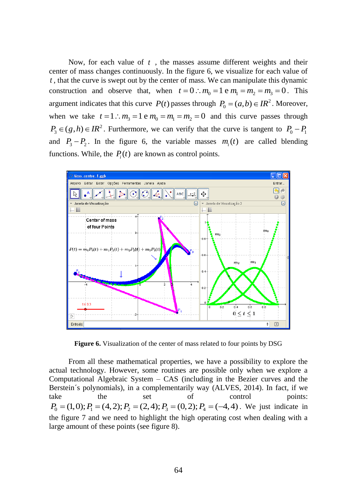Now, for each value of *t* , the masses assume different weights and their center of mass changes continuously. In the figure 6, we visualize for each value of *t* , that the curve is swept out by the center of mass. We can manipulate this dynamic construction and observe that, when  $t = 0$ :  $m_0 = 1$  e  $m_1 = m_2 = m_3 = 0$ . This argument indicates that this curve  $P(t)$  passes through  $P_0 = (a,b) \in \mathbb{R}^2$ . Moreover, when we take  $t = 1$ :  $m_3 = 1$  e  $m_0 = m_1 = m_2 = 0$  and this curve passes through  $P_3 \in (g, h) \in IR^2$ . Furthermore, we can verify that the curve is tangent to  $P_0 - P_1$ and  $P_3 - P_2$ . In the figure 6, the variable masses  $m_i(t)$  are called blending functions. While, the  $P_i(t)$  are known as control points.



**Figure 6.** Visualization of the center of mass related to four points by DSG

From all these mathematical properties, we have a possibility to explore the actual technology. However, some routines are possible only when we explore a Computational Algebraic System – CAS (including in the Bezier curves and the Berstein´s polynomials), in a complementarily way (ALVES, 2014). In fact, if we take the set of control points:  $P_0 = (1,0); P_1 = (4,2); P_2 = (2,4); P_3 = (0,2); P_4 = (-4,4).$  We just indicate in the figure 7 and we need to highlight the high operating cost when dealing with a large amount of these points (see figure 8).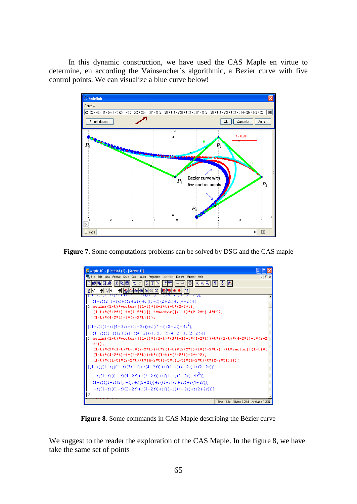In this dynamic construction, we have used the CAS Maple en virtue to determine, en according the Vainsencher´s algorithmic, a Bezier curve with five control points. We can visualize a blue curve below!



**Figure 7.** Some computations problems can be solved by DSG and the CAS maple

| <b>End Maple 10 - [Untitled (1) - [Server 1]]</b>                                                                                                                                         |                  |
|-------------------------------------------------------------------------------------------------------------------------------------------------------------------------------------------|------------------|
| File Edit View Format Style Color Axes Projection Animation Export Window Help                                                                                                            | $ \Box$ $\times$ |
| 0   0  2  0   1 <br> X   4   6  <br>656 E 6<br>$\mathbb{E}[ \mathbb{E}   \mathbb{E}   \mathbb{E}   \mathbb{E}   \mathbb{E}  $<br>lЫ<br>$\leftarrow$ $\rightarrow$<br>ŀМ<br>$ \mathbf{r} $ |                  |
| H 605650<br>$\theta$   $\theta$<br>$\frac{2}{3}$ $\frac{1}{9}$ 2<br>$\bullet$<br>$\vert \mathbf{1} \mathbf{1} \vert$                                                                      |                  |
| <u> (1-1)((1-1)(31+1)+1(4-21))+1((1-1)(4-21)+1(2-21)),</u>                                                                                                                                |                  |
| $(1-t)(2(1-t)t+t(2+2t))+t((1-t)(2+2t)+t(4-2t))]$                                                                                                                                          |                  |
| > evalm((1-t)*vector([(1-t)*(4-2*t)+t*(2-2*t),                                                                                                                                            |                  |
| $(1-t)*(2+2*t)+t*(4-2*t))]$ +t*vector( $[(1-t)*(2-2*t)-4*t^2,$                                                                                                                            |                  |
| $(1-t)*(4-2*t)+t*(2+2*t))$ ;                                                                                                                                                              |                  |
|                                                                                                                                                                                           |                  |
| $[(1-t)((1-t)(4-2t)+t(2-2t))+t((1-t)(2-2t)-4t^2),$                                                                                                                                        |                  |
| $(1-t)((1-t)(2+2t)+t(4-2t))+t((1-t)(4-2t)+t(2+2t))]$                                                                                                                                      |                  |
| evalm((1-t)*vector([(1-t)*((1-t)*(3*t+1)+t*(4-2*t))+t*((1-t)*(4-2*t)+t*(2-2                                                                                                               |                  |
| $*$ t $)$ ).<br>$(1-t)*(2*(1-t)*t+t*(2+2*t)) + t*((1-t)*(2+2*t)+t*(4-2*t))] + t*vector([1-t)*t*(3+2*t))$                                                                                  |                  |
| $(1-t)*(4-2*t)+t*(2-2*t))+t*((1-t)*(2-2*t)-4*t^{2})$ ,                                                                                                                                    |                  |
| $(1-t)*(1-t)*(2+2*t)+t*(4-2*t))+t*((1-t)*(4-2*t)+t*(2+2*t))$                                                                                                                              |                  |
|                                                                                                                                                                                           |                  |
| $[(1-t)((1-t)((1-t)(3t+1)+t(4-2t))+t((1-t)(4-2t)+t(2-2t)))$                                                                                                                               |                  |
| +t((1-t)((1-t)(4-2t)+t(2-2t))+t((1-t)(2-2t)-4t <sup>2</sup> )),                                                                                                                           |                  |
| $(1-t)((1-t)(2(1-t)t+t(2+2t))+t((1-t)(2+2t)+t(4-2t)))$                                                                                                                                    |                  |
| $+t((1-t)((1-t)(2+2t)+t(4-2t))+t((1-t)(4-2t)+t(2+2t)))]$                                                                                                                                  |                  |
|                                                                                                                                                                                           |                  |
| Bytes: 3.25M Available: 1.22G<br>Time: 6.6s                                                                                                                                               |                  |

**Figure 8.** Some commands in CAS Maple describing the Bézier curve

We suggest to the reader the exploration of the CAS Maple. In the figure 8, we have take the same set of points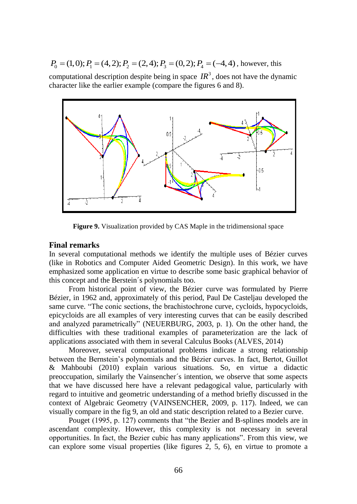$P_0 = (1,0); P_1 = (4,2); P_2 = (2,4); P_3 = (0,2); P_4 = (-4,4)$ , however, this computational description despite being in space  $IR^3$ , does not have the dynamic character like the earlier example (compare the figures 6 and 8).



**Figure 9.** Visualization provided by CAS Maple in the tridimensional space

## **Final remarks**

In several computational methods we identify the multiple uses of Bézier curves (like in Robotics and Computer Aided Geometric Design). In this work, we have emphasized some application en virtue to describe some basic graphical behavior of this concept and the Berstein´s polynomials too.

From historical point of view, the Bézier curve was formulated by Pierre Bézier, in 1962 and, approximately of this period, Paul De Casteljau developed the same curve. "The conic sections, the brachistochrone curve, cycloids, hypocycloids, epicycloids are all examples of very interesting curves that can be easily described and analyzed parametrically" (NEUERBURG, 2003, p. 1). On the other hand, the difficulties with these traditional examples of parameterization are the lack of applications associated with them in several Calculus Books (ALVES, 2014)

Moreover, several computational problems indicate a strong relationship between the Bernstein's polynomials and the Bézier curves. In fact, Bertot, Guillot & Mahboubi (2010) explain various situations. So, en virtue a didactic preoccupation, similarly the Vainsencher´s intention, we observe that some aspects that we have discussed here have a relevant pedagogical value, particularly with regard to intuitive and geometric understanding of a method briefly discussed in the context of Algebraic Geometry (VAINSENCHER, 2009, p. 117). Indeed, we can visually compare in the fig 9, an old and static description related to a Bezier curve.

Pouget (1995, p. 127) comments that "the Bezier and B-splines models are in ascendant complexity. However, this complexity is not necessary in several opportunities. In fact, the Bezier cubic has many applications". From this view, we can explore some visual properties (like figures 2, 5, 6), en virtue to promote a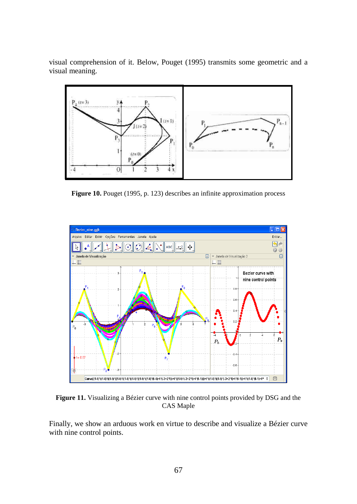visual comprehension of it. Below, Pouget (1995) transmits some geometric and a visual meaning.



**Figure 10.** Pouget (1995, p. 123) describes an infinite approximation process



**Figure 11.** Visualizing a Bézier curve with nine control points provided by DSG and the CAS Maple

Finally, we show an arduous work en virtue to describe and visualize a Bézier curve with nine control points.